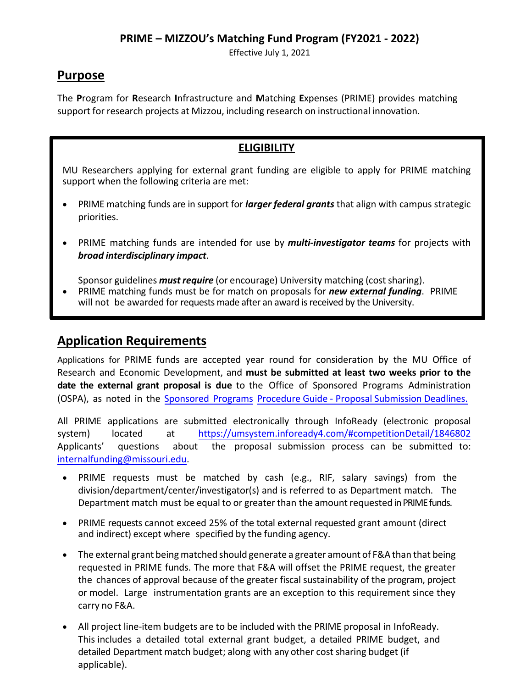Effective July 1, 2021

## **Purpose**

The **P**rogram for **R**esearch **I**nfrastructure and **M**atching **E**xpenses (PRIME) provides matching support for research projects at Mizzou, including research on instructional innovation.

### **ELIGIBILITY**

MU Researchers applying for external grant funding are eligible to apply for PRIME matching support when the following criteria are met:

- PRIME matching funds are in support for *larger federal grants* that align with campus strategic priorities.
- PRIME matching funds are intended for use by *multi-investigator teams* for projects with *broad interdisciplinary impact*.

Sponsor guidelines *must require* (or encourage) University matching (costsharing).

• PRIME matching funds must be for match on proposals for *new external funding*. PRIME will not be awarded for requests made after an award is received by the University.

## **Application Requirements**

Applications for PRIME funds are accepted year round for consideration by the MU Office of Research and Economic Development, and **must be submitted at least two weeks prior to the date the external grant proposal is due** to the Office of Sponsored Programs Administration [\(OSPA\), as noted in the Sponsored Programs Pro](https://research.missouri.edu/ospa/files/OSPA_SPPG_Proposal_Submission_Deadlines_150720.pdf)cedure Guide - Proposal S[ubmission Deadlines.](https://research.missouri.edu/ospa/files/OSPA_SPPG_Proposal_Submission_Deadlines_150720.pdf)

All PRIME applications are submitted electronically through InfoReady (electronic proposal system) located at [https://umsystem.infoready4.com/#competitionDetail/1846802](https://umsystem.infoready4.com/#competitionDetail/1821424) Applicants' questions about the proposal submission process can be submitted to: [internalfunding@missouri.edu.](mailto:internalfunding@missouri.edu)

- PRIME requests must be matched by cash (e.g., RIF, salary savings) from the division/department/center/investigator(s) and is referred to as Department match. The Department match must be equal to or greater than the amount requested in PRIME funds.
- PRIME requests cannot exceed 25% of the total external requested grant amount (direct and indirect) except where specified by the funding agency.
- The external grant being matched should generate a greater amount of F&A than that being requested in PRIME funds. The more that F&A will offset the PRIME request, the greater the chances of approval because of the greater fiscal sustainability of the program, project or model. Large instrumentation grants are an exception to this requirement since they carry no F&A.
- All project line-item budgets are to be included with the PRIME proposal in InfoReady. This includes a detailed total external grant budget, a detailed PRIME budget, and detailed Department match budget; along with any other cost sharing budget (if applicable).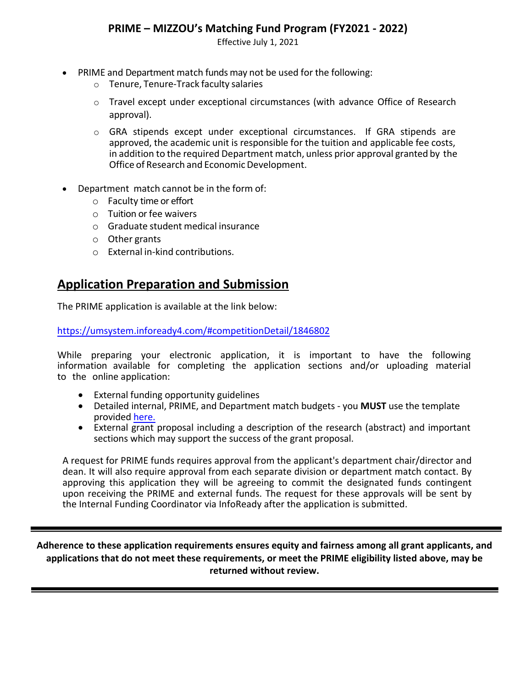Effective July 1, 2021

- PRIME and Department match funds may not be used for the following:
	- o Tenure, Tenure-Track faculty salaries
	- $\circ$  Travel except under exceptional circumstances (with advance Office of Research approval).
	- o GRA stipends except under exceptional circumstances. If GRA stipends are approved, the academic unit is responsible for the tuition and applicable fee costs, in addition to the required Department match, unless prior approval granted by the Office of Research and Economic Development.
- Department match cannot be in the form of:
	- o Faculty time or effort
	- o Tuition or fee waivers
	- o Graduate student medical insurance
	- o Other grants
	- o External in-kind contributions.

### **Application Preparation and Submission**

The PRIME application is available at the link below:

[https://umsystem.infoready4.com/#competitionD](https://research.missouri.edu/internal/prime.php)etail/1846802

While preparing your electronic application, it is important to have the following information available for completing the application sections and/or uploading material to the online application:

- External funding opportunity guidelines
- Detailed internal, PRIME, and Department match budgets you **MUST** use the template provided [here.](https://research.missouri.edu/internal/files/PRIME_Budget_Template.xlsx)
- External grant proposal including a description of the research (abstract) and important sections which may support the success of the grant proposal.

A request for PRIME funds requires approval from the applicant's department chair/director and dean. It will also require approval from each separate division or department match contact. By [approving this application the](mailto:internalfunding@missouri.edu)y will be agreeing to commit the designated funds contingent upon receiving the PRIME and exte[rnal funds. The request for these approvals will be](https://research.missouri.edu/internal/prime.php) sent by the Internal Funding Coordinator via InfoReady after the application is submitted.

**Adherence to these application requirements ensures equity and fairness among all grant applicants, and applications that do not meet these requirements, or meet the PRIME eligibility listed above, may be returned without review.**